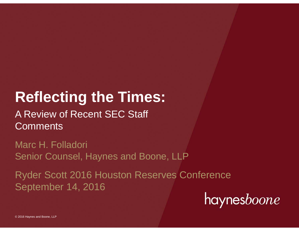# **Reflecting the Times:**

# A Review of Recent SEC Staff **Comments**

Marc H. Folladori Senior Counsel, Haynes and Boone, LLP

Ryder Scott 2016 Houston Reserves Conference September 14, 2016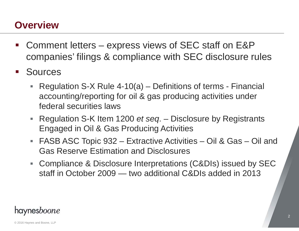#### **Overview**

- Comment letters – express views of SEC staff on E&P companies' filings & compliance with SEC disclosure rules
- **Sources** 
	- Regulation S-X Rule 4-10(a) Definitions of terms Financial accounting/reporting for oil & gas producing activities under federal securities laws
	- $\Box$  . Regulation S-K Item 1200 *et seq*. – Disclosure by Registrants Engaged in Oil & Gas Producing Activities
	- FASB ASC Topic 932 Extractive Activities Oil & Gas Oil and Gas Reserve Estimation and Disclosures
	- $\mathbb{R}^n$  . Compliance & Disclosure Interpretations (C&DIs) issued by SEC staff in October 2009 — two additional C&DIs added in 2013

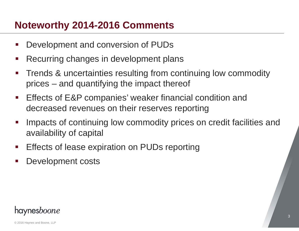#### **Noteworthy 2014-2016 Comments**

- $\mathbb{R}^3$ Development and conversion of PUDs
- $\mathcal{L}_{\mathcal{A}}$ Recurring changes in development plans
- $\mathcal{L}_{\mathcal{A}}$  Trends & uncertainties resulting from continuing low commodity prices – and quantifying the impact thereof
- $\mathcal{L}_{\mathcal{A}}$  Effects of E&P companies' weaker financial condition and decreased revenues on their reserves reporting
- $\mathcal{L}_{\mathrm{max}}$  Impacts of continuing low commodity prices on credit facilities and availability of capital
- $\mathcal{L}_{\mathrm{max}}$ Effects of lease expiration on PUDs reporting
- $\mathcal{L}_{\mathcal{A}}$ Development costs

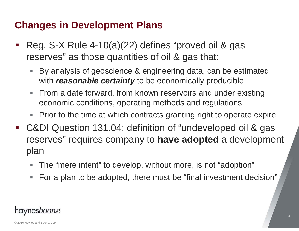- Reg. S-X Rule 4-10(a)(22) defines "proved oil & gas reserves" as those quantities of oil & gas that:
	- $\Box$  By analysis of geoscience & engineering data, can be estimated with *reasonable certainty* to be economically producible
	- $\overline{\phantom{a}}$  From a date forward, from known reservoirs and under existing economic conditions, operating methods and regulations
	- Τ Prior to the time at which contracts granting right to operate expire
- C&DI Question 131.04: definition of "undeveloped oil & gas reserves" requires company to **have adopted** a development plan
	- π The "mere intent" to develop, without more, is not "adoption"
	- $\overline{\phantom{a}}$ For a plan to be adopted, there must be "final investment decision"

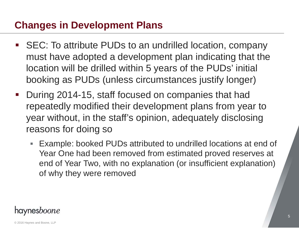- SEC: To attribute PUDs to an undrilled location, company must have adopted a development plan indicating that the location will be drilled within 5 years of the PUDs' initial booking as PUDs (unless circumstances justify longer)
- $\mathcal{L}_{\mathcal{A}}$  During 2014-15, staff focused on companies that had repeatedly modified their development plans from year to year without, in the staff's opinion, adequately disclosing reasons for doing so
	- Example: booked PUDs attributed to undrilled locations at end of Year One had been removed from estimated proved reserves at end of Year Two, with no explanation (or insufficient explanation) of why they were removed

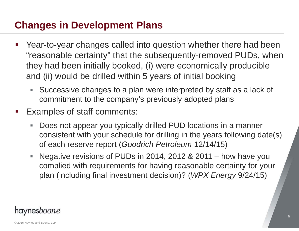- $\mathbb{R}^3$  Year-to-year changes called into question whether there had been "reasonable certainty" that the subsequently-removed PUDs, when they had been initially booked, (i) were economically producible and (ii) would be drilled within 5 years of initial booking
	- Successive changes to a plan were interpreted by staff as a lack of commitment to the company's previously adopted plans
- $\mathcal{L}_{\mathcal{A}}$  Examples of staff comments:
	- $\Box$  Does not appear you typically drilled PUD locations in a manner consistent with your schedule for drilling in the years following date(s) of each reserve report (*Goodrich Petroleum* 12/14/15)
	- $\overline{\phantom{a}}$  Negative revisions of PUDs in 2014, 2012 & 2011 – how have you complied with requirements for having reasonable certainty for your plan (including final investment decision)? (*WPX Energy* 9/24/15)

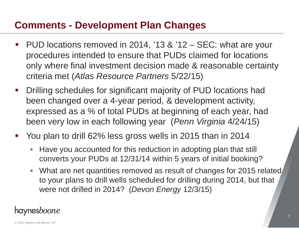## **Comments - Development Plan Changes**

- $\mathbb{R}^3$  PUD locations removed in 2014, '13 & '12 – SEC: what are your procedures intended to ensure that PUDs claimed for locations only where final investment decision made & reasonable certainty criteria met (*Atlas Resource Partners* 5/22/15)
- $\mathbb{R}^3$  Drilling schedules for significant majority of PUD locations had been changed over a 4-year period, & development activity, expressed as a % of total PUDs at beginning of each year, had been very low in each following year (*Penn Virginia* 4/24/15)
- P) You plan to drill 62% less gross wells in 2015 than in 2014
	- $\blacksquare$  Have you accounted for this reduction in adopting plan that still converts your PUDs at 12/31/14 within 5 years of initial booking?
	- What are net quantities removed as result of changes for 2015 related to your plans to drill wells scheduled for drilling during 2014, but that were not drilled in 2014? (*Devon Energy* 12/3/15)

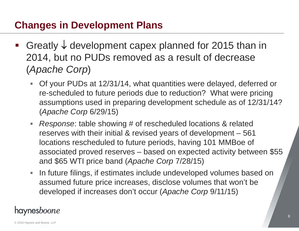- Greatly  $\downarrow$  development capex planned for 2015 than in 2014, but no PUDs removed as a result of decrease (*Apache Corp*)
	- $\blacksquare$  Of your PUDs at 12/31/14, what quantities were delayed, deferred or re-scheduled to future periods due to reduction? What were pricing assumptions used in preparing development schedule as of 12/31/14? (*Apache Corp* 6/29/15)
	- $\mathbb{R}^n$  *Response*: table showing # of rescheduled locations & related reserves with their initial & revised years of development – 561 locations rescheduled to future periods, having 101 MMBoe of associated proved reserves – based on expected activity between \$55 and \$65 WTI price band (*Apache Corp* 7/28/15)
	- $\overline{\phantom{a}}$  In future filings, if estimates include undeveloped volumes based on assumed future price increases, disclose volumes that won't be developed if increases don't occur (*Apache Corp* 9/11/15)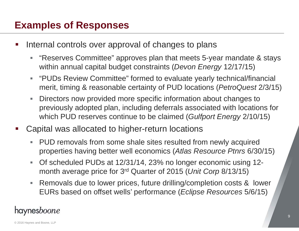### **Examples of Responses**

- Internal controls over approval of changes to plans
	- $\mathcal{C}$  "Reserves Committee" approves plan that meets 5-year mandate & stays within annual capital budget constraints (*Devon Energy* 12/17/15)
	- $\mathcal{L}_{\mathcal{A}}$  "PUDs Review Committee" formed to evaluate yearly technical/financial merit, timing & reasonable certainty of PUD locations (*PetroQuest* 2/3/15)
	- $\mathcal{L}_{\mathcal{A}}$  Directors now provided more specific information about changes to previously adopted plan, including deferrals associated with locations for which PUD reserves continue to be claimed (*Gulfport Energy* 2/10/15)
- Capital was allocated to higher-return locations
	- $\mathbb{R}^2$  PUD removals from some shale sites resulted from newly acquired properties having better well economics (*Atlas Resource Ptnrs* 6/30/15)
	- $\overline{\phantom{a}}$  Of scheduled PUDs at 12/31/14, 23% no longer economic using 12 month average price for 3rd Quarter of 2015 (*Unit Corp* 8/13/15)
	- $\mathcal{L}_{\mathcal{A}}$  Removals due to lower prices, future drilling/completion costs & lower EURs based on offset wells' performance (*Eclipse Resources* 5/6/15)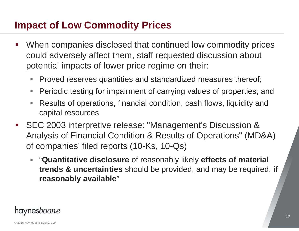- $\mathbb{R}^3$  When companies disclosed that continued low commodity prices could adversely affect them, staff requested discussion about potential impacts of lower price regime on their:
	- $\Box$ Proved reserves quantities and standardized measures thereof;
	- $\Box$ Periodic testing for impairment of carrying values of properties; and
	- $\mathbb{R}^n$  Results of operations, financial condition, cash flows, liquidity and capital resources
- SEC 2003 interpretive release: "Management's Discussion & Analysis of Financial Condition & Results of Operations" (MD&A) of companies' filed reports (10-Ks, 10-Qs)
	- "**Quantitative disclosure** of reasonably likely **effects of material trends & uncertainties** should be provided, and may be required, **if reasonably available**"

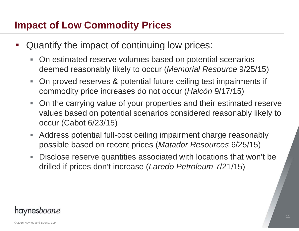- Quantify the impact of continuing low prices:
	- $\overline{\phantom{a}}$  On estimated reserve volumes based on potential scenarios deemed reasonably likely to occur (*Memorial Resource* 9/25/15)
	- $\overline{\phantom{a}}$  On proved reserves & potential future ceiling test impairments if commodity price increases do not occur (*Halcón* 9/17/15)
	- $\mathcal{L}_{\text{max}}$  On the carrying value of your properties and their estimated reserve values based on potential scenarios considered reasonably likely to occur (Cabot 6/23/15)
	- $\overline{\phantom{a}}$  Address potential full-cost ceiling impairment charge reasonably possible based on recent prices (*Matador Resources* 6/25/15)
	- $\Box$  Disclose reserve quantities associated with locations that won't be drilled if prices don't increase (*Laredo Petroleum* 7/21/15)

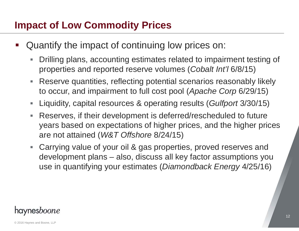- Quantify the impact of continuing low prices on:
	- $\Box$  Drilling plans, accounting estimates related to impairment testing of properties and reported reserve volumes (*Cobalt Int'l* 6/8/15)
	- $\Box$  Reserve quantities, reflecting potential scenarios reasonably likely to occur, and impairment to full cost pool (*Apache Corp* 6/29/15)
	- $\overline{\phantom{a}}$ Liquidity, capital resources & operating results (*Gulfport* 3/30/15)
	- Reserves, if their development is deferred/rescheduled to future years based on expectations of higher prices, and the higher prices are not attained (*W&T Offshore* 8/24/15)
	- Carrying value of your oil & gas properties, proved reserves and development plans – also, discuss all key factor assumptions you use in quantifying your estimates (*Diamondback Energy* 4/25/16)

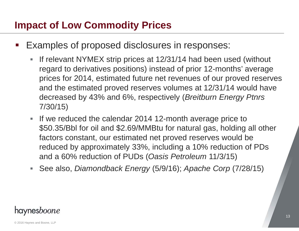- Examples of proposed disclosures in responses:
	- $\mathcal{L}_{\mathcal{A}}$  If relevant NYMEX strip prices at 12/31/14 had been used (without regard to derivatives positions) instead of prior 12-months' average prices for 2014, estimated future net revenues of our proved reserves and the estimated proved reserves volumes at 12/31/14 would have decreased by 43% and 6%, respectively (*Breitburn Energy Ptnrs* 7/30/15)
	- If we reduced the calendar 2014 12-month average price to \$50.35/Bbl for oil and \$2.69/MMBtu for natural gas, holding all other factors constant, our estimated net proved reserves would be reduced by approximately 33%, including a 10% reduction of PDs and a 60% reduction of PUDs (*Oasis Petroleum* 11/3/15)
	- $\Box$ See also, *Diamondback Energy* (5/9/16); *Apache Corp* (7/28/15)

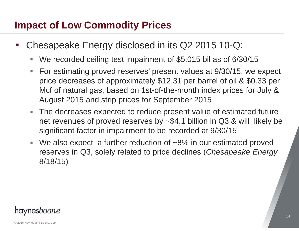- Chesapeake Energy disclosed in its Q2 2015 10-Q:
	- $\mathcal{L}_{\mathcal{A}}$ We recorded ceiling test impairment of \$5.015 bil as of 6/30/15
	- $\overline{\phantom{a}}$  For estimating proved reserves' present values at 9/30/15, we expect price decreases of approximately \$12.31 per barrel of oil & \$0.33 per Mcf of natural gas, based on 1st-of-the-month index prices for July & August 2015 and strip prices for September 2015
	- The decreases expected to reduce present value of estimated future net revenues of proved reserves by ~\$4.1 billion in Q3 & will likely be significant factor in impairment to be recorded at 9/30/15
	- $\overline{\phantom{a}}$ We also expect a further reduction of ~8% in our estimated proved reserves in Q3, solely related to price declines (*Chesapeake Energy*  8/18/15)

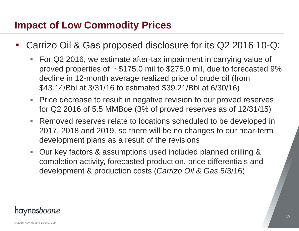- Carrizo Oil & Gas proposed disclosure for its Q2 2016 10-Q:
	- $\overline{\phantom{a}}$  For Q2 2016, we estimate after-tax impairment in carrying value of proved properties of ~\$175.0 mil to \$275.0 mil, due to forecasted 9% decline in 12-month average realized price of crude oil (from \$43.14/Bbl at 3/31/16 to estimated \$39.21/Bbl at 6/30/16)
	- $\overline{\phantom{a}}$  Price decrease to result in negative revision to our proved reserves for Q2 2016 of 5.5 MMBoe (3% of proved reserves as of 12/31/15)
	- $\Box$  Removed reserves relate to locations scheduled to be developed in 2017, 2018 and 2019, so there will be no changes to our near-term development plans as a result of the revisions
	- Our key factors & assumptions used included planned drilling & completion activity, forecasted production, price differentials and development & production costs (*Carrizo Oil & Gas* 5/3/16)

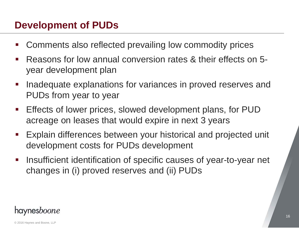#### **Development of PUDs**

- b. Comments also reflected prevailing low commodity prices
- $\mathcal{L}_{\mathcal{A}}$  Reasons for low annual conversion rates & their effects on 5 year development plan
- $\mathcal{L}_{\mathcal{A}}$  Inadequate explanations for variances in proved reserves and PUDs from year to year
- $\mathcal{L}^{\text{max}}$  Effects of lower prices, slowed development plans, for PUD acreage on leases that would expire in next 3 years
- $\mathcal{L}_{\text{max}}$  Explain differences between your historical and projected unit development costs for PUDs development
- $\mathcal{L}_{\mathcal{A}}$  Insufficient identification of specific causes of year-to-year net changes in (i) proved reserves and (ii) PUDs

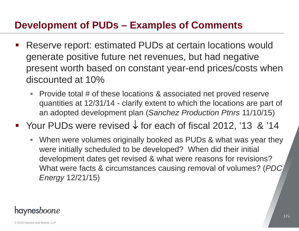#### **Development of PUDs – Examples of Comments**

- Reserve report: estimated PUDs at certain locations would generate positive future net revenues, but had negative present worth based on constant year-end prices/costs when discounted at 10%
	- Provide total # of these locations & associated net proved reserve quantities at 12/31/14 - clarify extent to which the locations are part of an adopted development plan (*Sanchez Production Ptnrs* 11/10/15)
- Your PUDs were revised  $\downarrow$  for each of fiscal 2012, '13 & '14
	- When were volumes originally booked as PUDs & what was year they were initially scheduled to be developed? When did their initial development dates get revised & what were reasons for revisions? What were facts & circumstances causing removal of volumes? (*PDC Energy* 12/21/15)

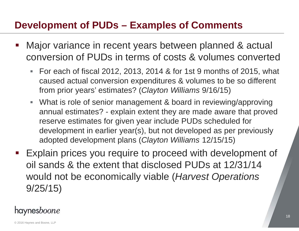#### **Development of PUDs – Examples of Comments**

- Major variance in recent years between planned & actual conversion of PUDs in terms of costs & volumes converted
	- For each of fiscal 2012, 2013, 2014 & for 1st 9 months of 2015, what caused actual conversion expenditures & volumes to be so different from prior years' estimates? (*Clayton Williams* 9/16/15)
	- What is role of senior management & board in reviewing/approving annual estimates? - explain extent they are made aware that proved reserve estimates for given year include PUDs scheduled for development in earlier year(s), but not developed as per previously adopted development plans (*Clayton Williams* 12/15/15)
- Explain prices you require to proceed with development of oil sands & the extent that disclosed PUDs at 12/31/14 would not be economically viable (*Harvest Operations*  9/25/15)

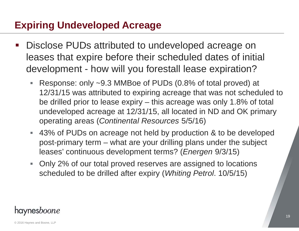# **Expiring Undeveloped Acreage**

- Disclose PUDs attributed to undeveloped acreage on leases that expire before their scheduled dates of initial development - how will you forestall lease expiration?
	- $\Box$  Response: only ~9.3 MMBoe of PUDs (0.8% of total proved) at 12/31/15 was attributed to expiring acreage that was not scheduled to be drilled prior to lease expiry – this acreage was only 1.8% of total undeveloped acreage at 12/31/15, all located in ND and OK primary operating areas (*Continental Resources* 5/5/16)
	- 43% of PUDs on acreage not held by production & to be developed post-primary term – what are your drilling plans under the subject leases' continuous development terms? (*Energen* 9/3/15)
	- $\mathbb{R}^n$  Only 2% of our total proved reserves are assigned to locations scheduled to be drilled after expiry (*Whiting Petrol*. 10/5/15)

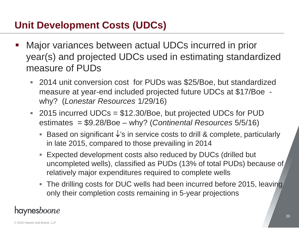#### **Unit Development Costs (UDCs)**

- Major variances between actual UDCs incurred in prior year(s) and projected UDCs used in estimating standardized measure of PUDs
	- 2014 unit conversion cost for PUDs was \$25/Boe, but standardized measure at year-end included projected future UDCs at \$17/Boe why? (*Lonestar Resources* 1/29/16)
	- 2015 incurred UDCs = \$12.30/Boe, but projected UDCs for PUD estimates = \$9.28/Boe – why? (*Continental Resources* 5/5/16)
		- Based on significant  $\downarrow$ 's in service costs to drill & complete, particularly in late 2015, compared to those prevailing in 2014
		- Expected development costs also reduced by DUCs (drilled but uncompleted wells), classified as PUDs (13% of total PUDs) because of relatively major expenditures required to complete wells
		- The drilling costs for DUC wells had been incurred before 2015, leaving only their completion costs remaining in 5-year projections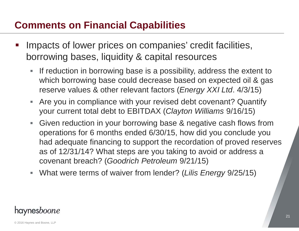# **Comments on Financial Capabilities**

- Impacts of lower prices on companies' credit facilities, borrowing bases, liquidity & capital resources
	- $\Box$  If reduction in borrowing base is a possibility, address the extent to which borrowing base could decrease based on expected oil & gas reserve values & other relevant factors (*Energy XXI Ltd*. 4/3/15)
	- $\blacksquare$  Are you in compliance with your revised debt covenant? Quantify your current total debt to EBITDAX (*Clayton Williams* 9/16/15)
	- $\mathbf{E}^{(1)}$  Given reduction in your borrowing base & negative cash flows from operations for 6 months ended 6/30/15, how did you conclude you had adequate financing to support the recordation of proved reserves as of 12/31/14? What steps are you taking to avoid or address a covenant breach? (*Goodrich Petroleum* 9/21/15)
	- $\mathcal{L}_{\mathcal{A}}$ What were terms of waiver from lender? (*Lilis Energy* 9/25/15)

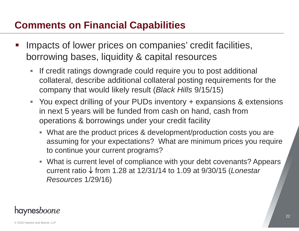# **Comments on Financial Capabilities**

- Impacts of lower prices on companies' credit facilities, borrowing bases, liquidity & capital resources
	- $\mathcal{L}_{\mathcal{A}}$  If credit ratings downgrade could require you to post additional collateral, describe additional collateral posting requirements for the company that would likely result (*Black Hills* 9/15/15)
	- You expect drilling of your PUDs inventory + expansions & extensions in next 5 years will be funded from cash on hand, cash from operations & borrowings under your credit facility
		- What are the product prices & development/production costs you are assuming for your expectations? What are minimum prices you require to continue your current programs?
		- What is current level of compliance with your debt covenants? Appears current ratio from 1.28 at 12/31/14 to 1.09 at 9/30/15 (*Lonestar Resources* 1/29/16)